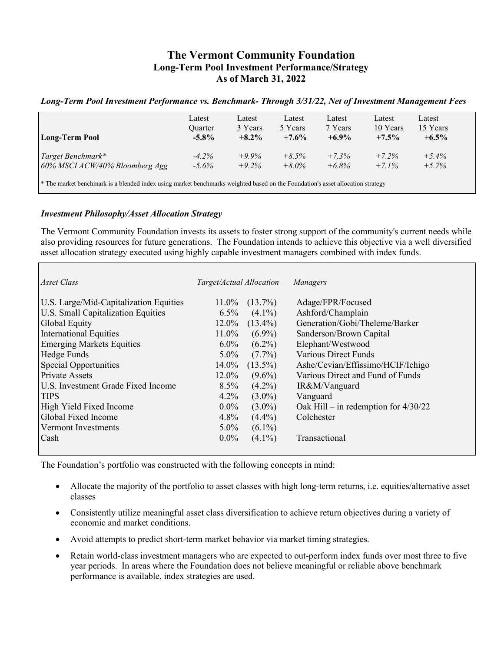# **The Vermont Community Foundation Long-Term Pool Investment Performance/Strategy As of March 31, 2022**

### *Long-Term Pool Investment Performance vs. Benchmark- Through 3/31/22, Net of Investment Management Fees*

| <b>Long-Term Pool</b>                                                                                                                     | Latest   | Latest   | Latest   | Latest   | Latest   | Latest   |  |
|-------------------------------------------------------------------------------------------------------------------------------------------|----------|----------|----------|----------|----------|----------|--|
|                                                                                                                                           | Quarter  | 3 Years  | 5 Years  | 7 Years  | 10 Years | 15 Years |  |
|                                                                                                                                           | $-5.8\%$ | $+8.2\%$ | $+7.6%$  | $+6.9\%$ | $+7.5\%$ | $+6.5\%$ |  |
| Target Benchmark*                                                                                                                         | $-4.2\%$ | $+9.9\%$ | $+8.5\%$ | $+7.3%$  | $+7.2%$  | $+5.4\%$ |  |
| 60% MSCI ACW/40% Bloomberg Agg                                                                                                            | $-5.6\%$ | $+9.2\%$ | $+8.0\%$ | $+6.8\%$ | $+7.1\%$ | $+5.7\%$ |  |
| <sup>*</sup> The market benchmark is a blended index using market benchmarks weighted based on the Foundation's asset allocation strategy |          |          |          |          |          |          |  |

#### *Investment Philosophy/Asset Allocation Strategy*

The Vermont Community Foundation invests its assets to foster strong support of the community's current needs while also providing resources for future generations. The Foundation intends to achieve this objective via a well diversified asset allocation strategy executed using highly capable investment managers combined with index funds.

| Asset Class                            | Target/Actual Allocation |            | Managers                               |
|----------------------------------------|--------------------------|------------|----------------------------------------|
| U.S. Large/Mid-Capitalization Equities | 11.0%                    | $(13.7\%)$ | Adage/FPR/Focused                      |
| U.S. Small Capitalization Equities     | $6.5\%$                  | $(4.1\%)$  | Ashford/Champlain                      |
| Global Equity                          | $12.0\%$                 | $(13.4\%)$ | Generation/Gobi/Theleme/Barker         |
| <b>International Equities</b>          | 11.0%                    | $(6.9\%)$  | Sanderson/Brown Capital                |
| <b>Emerging Markets Equities</b>       | $6.0\%$                  | $(6.2\%)$  | Elephant/Westwood                      |
| Hedge Funds                            | $5.0\%$                  | $(7.7\%)$  | <b>Various Direct Funds</b>            |
| Special Opportunities                  | $14.0\%$                 | $(13.5\%)$ | Ashe/Cevian/Effissimo/HCIF/Ichigo      |
| <b>Private Assets</b>                  | 12.0%                    | $(9.6\%)$  | Various Direct and Fund of Funds       |
| U.S. Investment Grade Fixed Income     | $8.5\%$                  | $(4.2\%)$  | IR&M/Vanguard                          |
| <b>TIPS</b>                            | 4.2%                     | $(3.0\%)$  | Vanguard                               |
| High Yield Fixed Income                | $0.0\%$                  | $(3.0\%)$  | Oak Hill – in redemption for $4/30/22$ |
| Global Fixed Income                    | 4.8%                     | $(4.4\%)$  | Colchester                             |
| Vermont Investments                    | $5.0\%$                  | $(6.1\%)$  |                                        |
| Cash                                   | $0.0\%$                  | $(4.1\%)$  | Transactional                          |
|                                        |                          |            |                                        |

The Foundation's portfolio was constructed with the following concepts in mind:

- Allocate the majority of the portfolio to asset classes with high long-term returns, i.e. equities/alternative asset classes
- Consistently utilize meaningful asset class diversification to achieve return objectives during a variety of economic and market conditions.
- Avoid attempts to predict short-term market behavior via market timing strategies.
- Retain world-class investment managers who are expected to out-perform index funds over most three to five year periods. In areas where the Foundation does not believe meaningful or reliable above benchmark performance is available, index strategies are used.